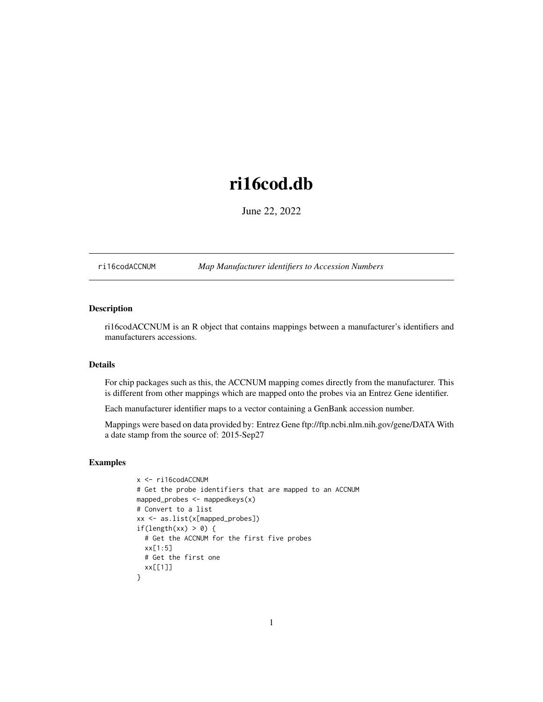# <span id="page-0-1"></span>ri16cod.db

June 22, 2022

<span id="page-0-0"></span>ri16codACCNUM *Map Manufacturer identifiers to Accession Numbers*

# Description

ri16codACCNUM is an R object that contains mappings between a manufacturer's identifiers and manufacturers accessions.

# Details

For chip packages such as this, the ACCNUM mapping comes directly from the manufacturer. This is different from other mappings which are mapped onto the probes via an Entrez Gene identifier.

Each manufacturer identifier maps to a vector containing a GenBank accession number.

Mappings were based on data provided by: Entrez Gene ftp://ftp.ncbi.nlm.nih.gov/gene/DATA With a date stamp from the source of: 2015-Sep27

```
x <- ri16codACCNUM
# Get the probe identifiers that are mapped to an ACCNUM
mapped_probes <- mappedkeys(x)
# Convert to a list
xx <- as.list(x[mapped_probes])
if(length(xx) > 0) {
  # Get the ACCNUM for the first five probes
  xx[1:5]
  # Get the first one
  xx[[1]]
}
```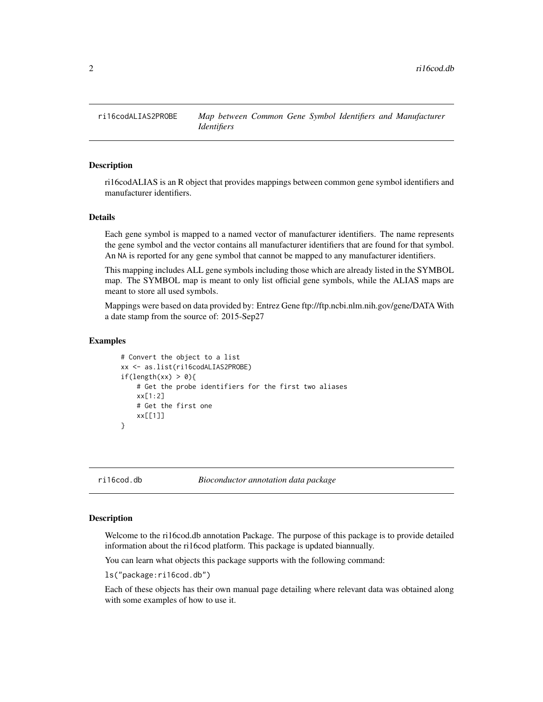<span id="page-1-0"></span>

ri16codALIAS is an R object that provides mappings between common gene symbol identifiers and manufacturer identifiers.

#### Details

Each gene symbol is mapped to a named vector of manufacturer identifiers. The name represents the gene symbol and the vector contains all manufacturer identifiers that are found for that symbol. An NA is reported for any gene symbol that cannot be mapped to any manufacturer identifiers.

This mapping includes ALL gene symbols including those which are already listed in the SYMBOL map. The SYMBOL map is meant to only list official gene symbols, while the ALIAS maps are meant to store all used symbols.

Mappings were based on data provided by: Entrez Gene ftp://ftp.ncbi.nlm.nih.gov/gene/DATA With a date stamp from the source of: 2015-Sep27

## Examples

```
# Convert the object to a list
xx <- as.list(ri16codALIAS2PROBE)
if(length(xx) > 0){
    # Get the probe identifiers for the first two aliases
   xx[1:2]
   # Get the first one
   xx[[1]]
}
```
ri16cod.db *Bioconductor annotation data package*

#### Description

Welcome to the ri16cod.db annotation Package. The purpose of this package is to provide detailed information about the ri16cod platform. This package is updated biannually.

You can learn what objects this package supports with the following command:

ls("package:ri16cod.db")

Each of these objects has their own manual page detailing where relevant data was obtained along with some examples of how to use it.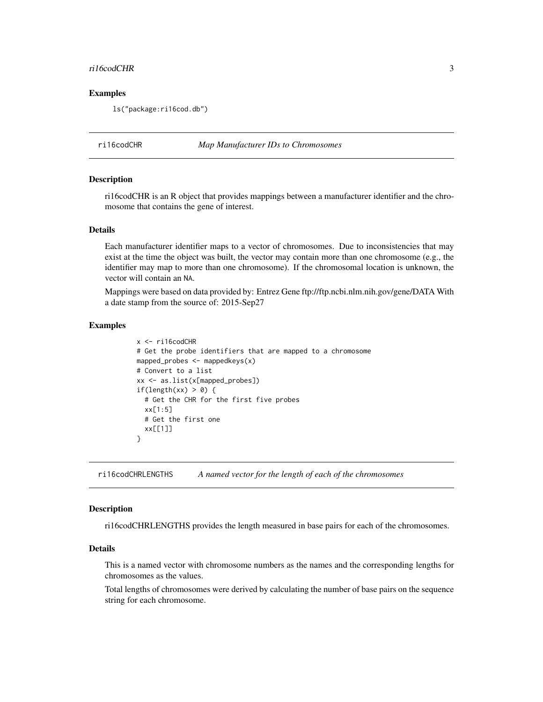#### <span id="page-2-0"></span>ri16codCHR 3

#### Examples

ls("package:ri16cod.db")

ri16codCHR *Map Manufacturer IDs to Chromosomes*

#### Description

ri16codCHR is an R object that provides mappings between a manufacturer identifier and the chromosome that contains the gene of interest.

# Details

Each manufacturer identifier maps to a vector of chromosomes. Due to inconsistencies that may exist at the time the object was built, the vector may contain more than one chromosome (e.g., the identifier may map to more than one chromosome). If the chromosomal location is unknown, the vector will contain an NA.

Mappings were based on data provided by: Entrez Gene ftp://ftp.ncbi.nlm.nih.gov/gene/DATA With a date stamp from the source of: 2015-Sep27

# Examples

```
x <- ri16codCHR
# Get the probe identifiers that are mapped to a chromosome
mapped_probes <- mappedkeys(x)
# Convert to a list
xx <- as.list(x[mapped_probes])
if(length(xx) > 0) {
  # Get the CHR for the first five probes
  xx[1:5]
  # Get the first one
  xx[[1]]
}
```
ri16codCHRLENGTHS *A named vector for the length of each of the chromosomes*

#### **Description**

ri16codCHRLENGTHS provides the length measured in base pairs for each of the chromosomes.

# Details

This is a named vector with chromosome numbers as the names and the corresponding lengths for chromosomes as the values.

Total lengths of chromosomes were derived by calculating the number of base pairs on the sequence string for each chromosome.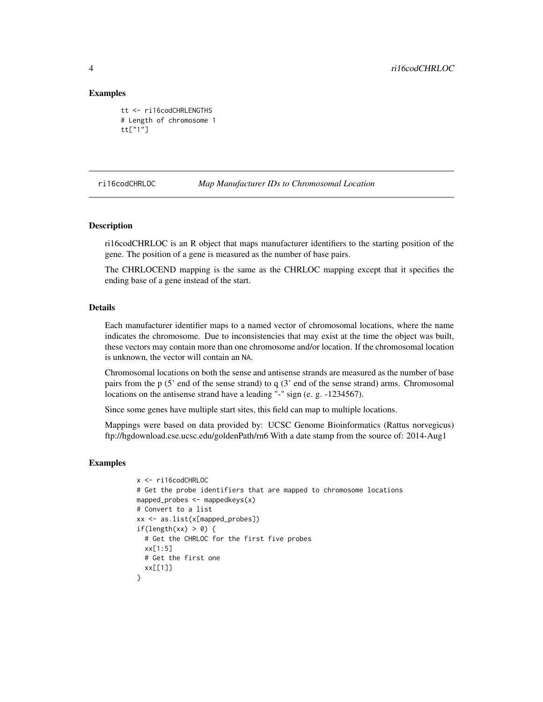#### Examples

```
tt <- ri16codCHRLENGTHS
# Length of chromosome 1
tt["1"]
```
#### ri16codCHRLOC *Map Manufacturer IDs to Chromosomal Location*

# Description

ri16codCHRLOC is an R object that maps manufacturer identifiers to the starting position of the gene. The position of a gene is measured as the number of base pairs.

The CHRLOCEND mapping is the same as the CHRLOC mapping except that it specifies the ending base of a gene instead of the start.

# Details

Each manufacturer identifier maps to a named vector of chromosomal locations, where the name indicates the chromosome. Due to inconsistencies that may exist at the time the object was built, these vectors may contain more than one chromosome and/or location. If the chromosomal location is unknown, the vector will contain an NA.

Chromosomal locations on both the sense and antisense strands are measured as the number of base pairs from the p (5' end of the sense strand) to q (3' end of the sense strand) arms. Chromosomal locations on the antisense strand have a leading "-" sign (e. g. -1234567).

Since some genes have multiple start sites, this field can map to multiple locations.

Mappings were based on data provided by: UCSC Genome Bioinformatics (Rattus norvegicus) ftp://hgdownload.cse.ucsc.edu/goldenPath/rn6 With a date stamp from the source of: 2014-Aug1

```
x <- ri16codCHRLOC
# Get the probe identifiers that are mapped to chromosome locations
mapped_probes \leq mappedkeys(x)
# Convert to a list
xx <- as.list(x[mapped_probes])
if(length(xx) > 0) {
  # Get the CHRLOC for the first five probes
  xx[1:5]
 # Get the first one
 xx[[1]]
}
```
<span id="page-3-0"></span>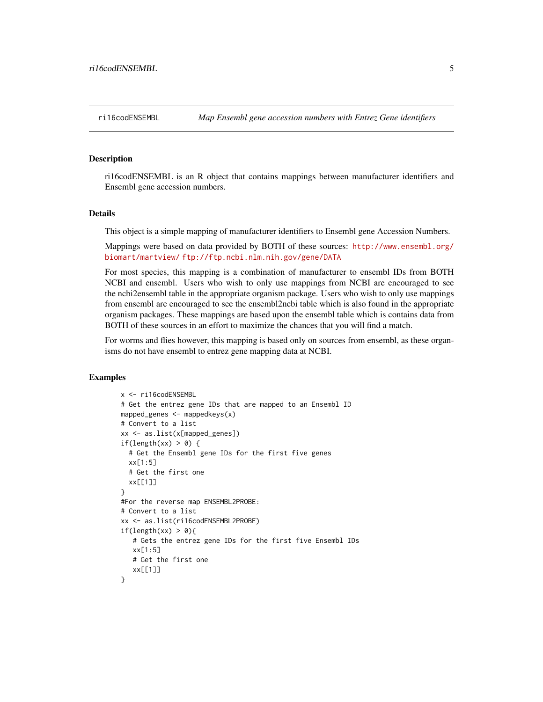<span id="page-4-0"></span>ri16codENSEMBL is an R object that contains mappings between manufacturer identifiers and Ensembl gene accession numbers.

# Details

This object is a simple mapping of manufacturer identifiers to Ensembl gene Accession Numbers.

Mappings were based on data provided by BOTH of these sources: [http://www.ensembl.org/](http://www.ensembl.org/biomart/martview/) [biomart/martview/](http://www.ensembl.org/biomart/martview/) <ftp://ftp.ncbi.nlm.nih.gov/gene/DATA>

For most species, this mapping is a combination of manufacturer to ensembl IDs from BOTH NCBI and ensembl. Users who wish to only use mappings from NCBI are encouraged to see the ncbi2ensembl table in the appropriate organism package. Users who wish to only use mappings from ensembl are encouraged to see the ensembl2ncbi table which is also found in the appropriate organism packages. These mappings are based upon the ensembl table which is contains data from BOTH of these sources in an effort to maximize the chances that you will find a match.

For worms and flies however, this mapping is based only on sources from ensembl, as these organisms do not have ensembl to entrez gene mapping data at NCBI.

```
x <- ri16codENSEMBL
# Get the entrez gene IDs that are mapped to an Ensembl ID
mapped_genes <- mappedkeys(x)
# Convert to a list
xx <- as.list(x[mapped_genes])
if(length(xx) > 0) {
  # Get the Ensembl gene IDs for the first five genes
  xx[1:5]
  # Get the first one
  xx[[1]]
}
#For the reverse map ENSEMBL2PROBE:
# Convert to a list
xx <- as.list(ri16codENSEMBL2PROBE)
if(length(xx) > 0){
   # Gets the entrez gene IDs for the first five Ensembl IDs
   xx[1:5]
   # Get the first one
   xx[[1]]
}
```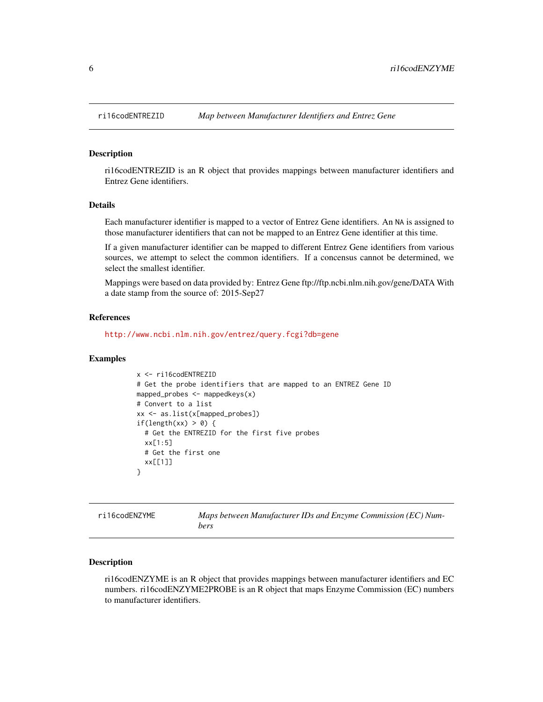ri16codENTREZID is an R object that provides mappings between manufacturer identifiers and Entrez Gene identifiers.

# Details

Each manufacturer identifier is mapped to a vector of Entrez Gene identifiers. An NA is assigned to those manufacturer identifiers that can not be mapped to an Entrez Gene identifier at this time.

If a given manufacturer identifier can be mapped to different Entrez Gene identifiers from various sources, we attempt to select the common identifiers. If a concensus cannot be determined, we select the smallest identifier.

Mappings were based on data provided by: Entrez Gene ftp://ftp.ncbi.nlm.nih.gov/gene/DATA With a date stamp from the source of: 2015-Sep27

#### References

<http://www.ncbi.nlm.nih.gov/entrez/query.fcgi?db=gene>

#### Examples

```
x <- ri16codENTREZID
# Get the probe identifiers that are mapped to an ENTREZ Gene ID
mapped_probes <- mappedkeys(x)
# Convert to a list
xx <- as.list(x[mapped_probes])
if(length(xx) > 0) {
  # Get the ENTREZID for the first five probes
  xx[1:5]
 # Get the first one
  xx[[1]]
}
```

| ri16codENZYME | Maps between Manufacturer IDs and Enzyme Commission (EC) Num- |
|---------------|---------------------------------------------------------------|
|               | bers                                                          |

# **Description**

ri16codENZYME is an R object that provides mappings between manufacturer identifiers and EC numbers. ri16codENZYME2PROBE is an R object that maps Enzyme Commission (EC) numbers to manufacturer identifiers.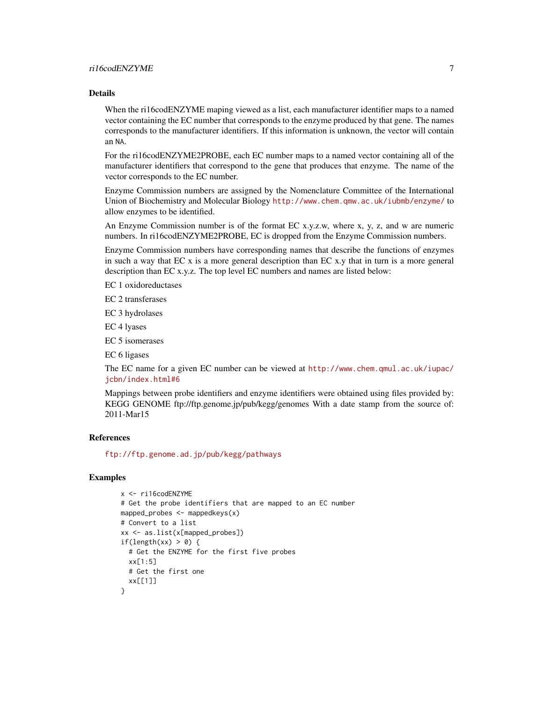When the ri16codENZYME maping viewed as a list, each manufacturer identifier maps to a named vector containing the EC number that corresponds to the enzyme produced by that gene. The names corresponds to the manufacturer identifiers. If this information is unknown, the vector will contain an NA.

For the ri16codENZYME2PROBE, each EC number maps to a named vector containing all of the manufacturer identifiers that correspond to the gene that produces that enzyme. The name of the vector corresponds to the EC number.

Enzyme Commission numbers are assigned by the Nomenclature Committee of the International Union of Biochemistry and Molecular Biology <http://www.chem.qmw.ac.uk/iubmb/enzyme/> to allow enzymes to be identified.

An Enzyme Commission number is of the format EC x.y.z.w, where x, y, z, and w are numeric numbers. In ri16codENZYME2PROBE, EC is dropped from the Enzyme Commission numbers.

Enzyme Commission numbers have corresponding names that describe the functions of enzymes in such a way that EC x is a more general description than EC x.y that in turn is a more general description than EC x.y.z. The top level EC numbers and names are listed below:

EC 1 oxidoreductases

EC 2 transferases

EC 3 hydrolases

EC 4 lyases

EC 5 isomerases

EC 6 ligases

The EC name for a given EC number can be viewed at [http://www.chem.qmul.ac.uk/iupac/](http://www.chem.qmul.ac.uk/iupac/jcbn/index.html#6) [jcbn/index.html#6](http://www.chem.qmul.ac.uk/iupac/jcbn/index.html#6)

Mappings between probe identifiers and enzyme identifiers were obtained using files provided by: KEGG GENOME ftp://ftp.genome.jp/pub/kegg/genomes With a date stamp from the source of: 2011-Mar15

# References

<ftp://ftp.genome.ad.jp/pub/kegg/pathways>

```
x <- ri16codENZYME
# Get the probe identifiers that are mapped to an EC number
mapped_probes <- mappedkeys(x)
# Convert to a list
xx <- as.list(x[mapped_probes])
if(length(xx) > 0) {
  # Get the ENZYME for the first five probes
  xx[1:5]
  # Get the first one
  xx[[1]]
}
```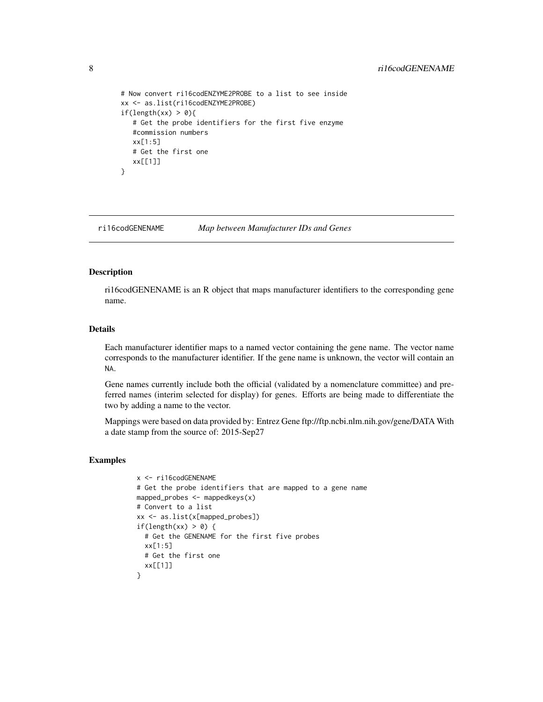```
# Now convert ri16codENZYME2PROBE to a list to see inside
xx <- as.list(ri16codENZYME2PROBE)
if(length(xx) > 0){
  # Get the probe identifiers for the first five enzyme
  #commission numbers
  xx[1:5]
  # Get the first one
  xx[[1]]
}
```
ri16codGENENAME *Map between Manufacturer IDs and Genes*

#### Description

ri16codGENENAME is an R object that maps manufacturer identifiers to the corresponding gene name.

# Details

Each manufacturer identifier maps to a named vector containing the gene name. The vector name corresponds to the manufacturer identifier. If the gene name is unknown, the vector will contain an NA.

Gene names currently include both the official (validated by a nomenclature committee) and preferred names (interim selected for display) for genes. Efforts are being made to differentiate the two by adding a name to the vector.

Mappings were based on data provided by: Entrez Gene ftp://ftp.ncbi.nlm.nih.gov/gene/DATA With a date stamp from the source of: 2015-Sep27

```
x <- ri16codGENENAME
# Get the probe identifiers that are mapped to a gene name
mapped_probes <- mappedkeys(x)
# Convert to a list
xx <- as.list(x[mapped_probes])
if(length(xx) > 0) {
  # Get the GENENAME for the first five probes
  xx[1:5]
 # Get the first one
 xx[[1]]
}
```
<span id="page-7-0"></span>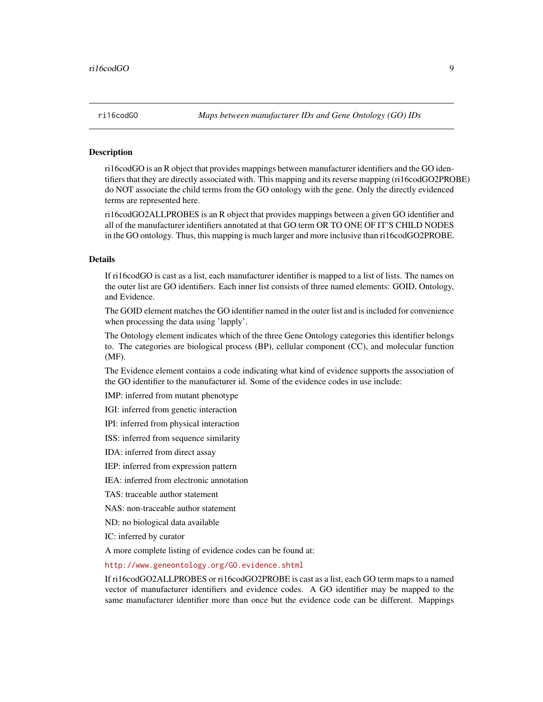<span id="page-8-1"></span><span id="page-8-0"></span>

ri16codGO is an R object that provides mappings between manufacturer identifiers and the GO identifiers that they are directly associated with. This mapping and its reverse mapping (ri16codGO2PROBE) do NOT associate the child terms from the GO ontology with the gene. Only the directly evidenced terms are represented here.

ri16codGO2ALLPROBES is an R object that provides mappings between a given GO identifier and all of the manufacturer identifiers annotated at that GO term OR TO ONE OF IT'S CHILD NODES in the GO ontology. Thus, this mapping is much larger and more inclusive than ri16codGO2PROBE.

#### Details

If ri16codGO is cast as a list, each manufacturer identifier is mapped to a list of lists. The names on the outer list are GO identifiers. Each inner list consists of three named elements: GOID, Ontology, and Evidence.

The GOID element matches the GO identifier named in the outer list and is included for convenience when processing the data using 'lapply'.

The Ontology element indicates which of the three Gene Ontology categories this identifier belongs to. The categories are biological process (BP), cellular component (CC), and molecular function (MF).

The Evidence element contains a code indicating what kind of evidence supports the association of the GO identifier to the manufacturer id. Some of the evidence codes in use include:

IMP: inferred from mutant phenotype

IGI: inferred from genetic interaction

IPI: inferred from physical interaction

ISS: inferred from sequence similarity

IDA: inferred from direct assay

IEP: inferred from expression pattern

IEA: inferred from electronic annotation

TAS: traceable author statement

NAS: non-traceable author statement

ND: no biological data available

IC: inferred by curator

A more complete listing of evidence codes can be found at:

<http://www.geneontology.org/GO.evidence.shtml>

If ri16codGO2ALLPROBES or ri16codGO2PROBE is cast as a list, each GO term maps to a named vector of manufacturer identifiers and evidence codes. A GO identifier may be mapped to the same manufacturer identifier more than once but the evidence code can be different. Mappings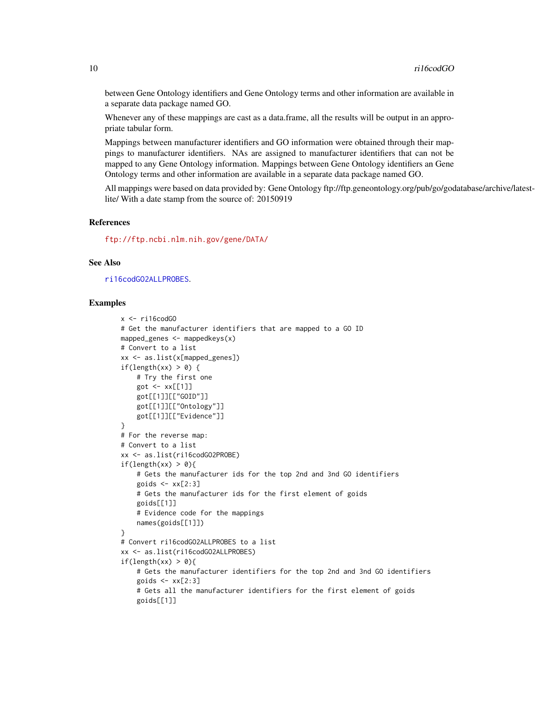between Gene Ontology identifiers and Gene Ontology terms and other information are available in a separate data package named GO.

Whenever any of these mappings are cast as a data.frame, all the results will be output in an appropriate tabular form.

Mappings between manufacturer identifiers and GO information were obtained through their mappings to manufacturer identifiers. NAs are assigned to manufacturer identifiers that can not be mapped to any Gene Ontology information. Mappings between Gene Ontology identifiers an Gene Ontology terms and other information are available in a separate data package named GO.

All mappings were based on data provided by: Gene Ontology ftp://ftp.geneontology.org/pub/go/godatabase/archive/latestlite/ With a date stamp from the source of: 20150919

#### References

<ftp://ftp.ncbi.nlm.nih.gov/gene/DATA/>

#### See Also

[ri16codGO2ALLPROBES](#page-8-0).

```
x < -ri16\text{cod}60# Get the manufacturer identifiers that are mapped to a GO ID
mapped_genes <- mappedkeys(x)
# Convert to a list
xx <- as.list(x[mapped_genes])
if(length(xx) > 0) {
    # Try the first one
    got <- xx[[1]]
    got[[1]][["GOID"]]
    got[[1]][["Ontology"]]
    got[[1]][["Evidence"]]
}
# For the reverse map:
# Convert to a list
xx <- as.list(ri16codGO2PROBE)
if(length(xx) > 0){
    # Gets the manufacturer ids for the top 2nd and 3nd GO identifiers
    goids \leq -x \times [2:3]# Gets the manufacturer ids for the first element of goids
    goids[[1]]
    # Evidence code for the mappings
    names(goids[[1]])
}
# Convert ri16codGO2ALLPROBES to a list
xx <- as.list(ri16codGO2ALLPROBES)
if(length(xx) > 0){
    # Gets the manufacturer identifiers for the top 2nd and 3nd GO identifiers
    goids \leq -x \times [2:3]# Gets all the manufacturer identifiers for the first element of goids
    goids[[1]]
```
<span id="page-9-0"></span>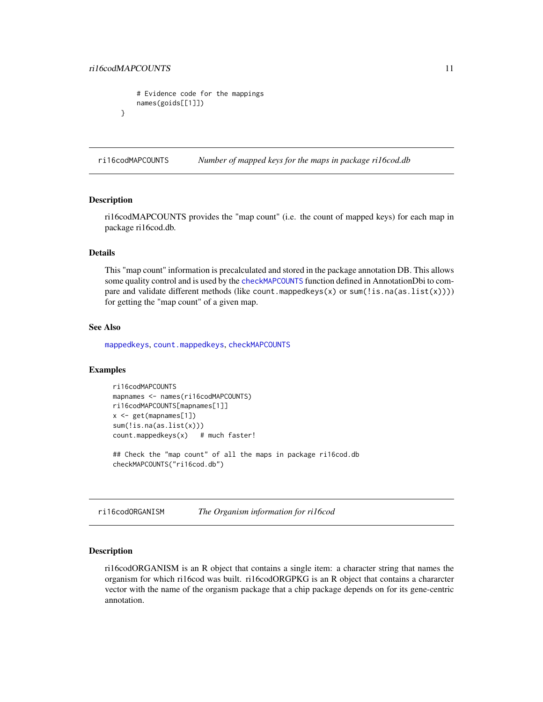```
# Evidence code for the mappings
   names(goids[[1]])
}
```
ri16codMAPCOUNTS *Number of mapped keys for the maps in package ri16cod.db*

# **Description**

ri16codMAPCOUNTS provides the "map count" (i.e. the count of mapped keys) for each map in package ri16cod.db.

# Details

This "map count" information is precalculated and stored in the package annotation DB. This allows some quality control and is used by the [checkMAPCOUNTS](#page-0-0) function defined in AnnotationDbi to compare and validate different methods (like count.mappedkeys(x) or sum(!is.na(as.list(x)))) for getting the "map count" of a given map.

#### See Also

[mappedkeys](#page-0-0), [count.mappedkeys](#page-0-0), [checkMAPCOUNTS](#page-0-0)

# Examples

```
ri16codMAPCOUNTS
mapnames <- names(ri16codMAPCOUNTS)
ri16codMAPCOUNTS[mapnames[1]]
x <- get(mapnames[1])
sum(!is.na(as.list(x)))
count.mappedkeys(x) # much faster!
```
## Check the "map count" of all the maps in package ri16cod.db checkMAPCOUNTS("ri16cod.db")

ri16codORGANISM *The Organism information for ri16cod*

# Description

ri16codORGANISM is an R object that contains a single item: a character string that names the organism for which ri16cod was built. ri16codORGPKG is an R object that contains a chararcter vector with the name of the organism package that a chip package depends on for its gene-centric annotation.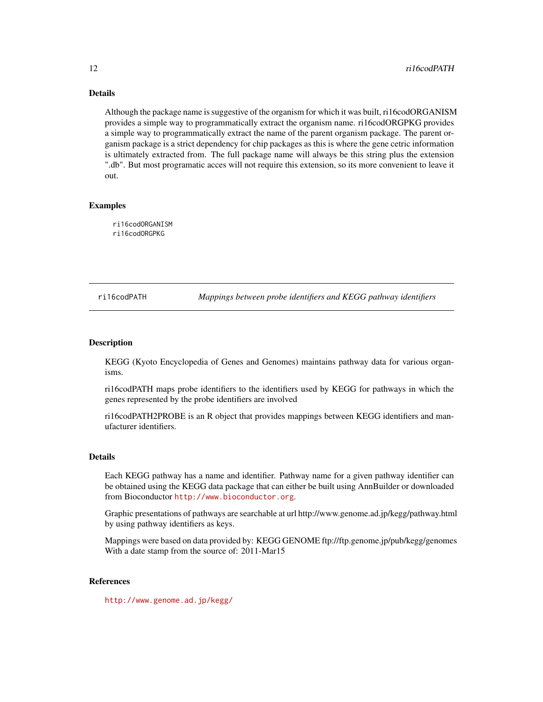<span id="page-11-0"></span>Although the package name is suggestive of the organism for which it was built, ri16codORGANISM provides a simple way to programmatically extract the organism name. ri16codORGPKG provides a simple way to programmatically extract the name of the parent organism package. The parent organism package is a strict dependency for chip packages as this is where the gene cetric information is ultimately extracted from. The full package name will always be this string plus the extension ".db". But most programatic acces will not require this extension, so its more convenient to leave it out.

# Examples

ri16codORGANISM ri16codORGPKG

ri16codPATH *Mappings between probe identifiers and KEGG pathway identifiers*

# **Description**

KEGG (Kyoto Encyclopedia of Genes and Genomes) maintains pathway data for various organisms.

ri16codPATH maps probe identifiers to the identifiers used by KEGG for pathways in which the genes represented by the probe identifiers are involved

ri16codPATH2PROBE is an R object that provides mappings between KEGG identifiers and manufacturer identifiers.

#### Details

Each KEGG pathway has a name and identifier. Pathway name for a given pathway identifier can be obtained using the KEGG data package that can either be built using AnnBuilder or downloaded from Bioconductor <http://www.bioconductor.org>.

Graphic presentations of pathways are searchable at url http://www.genome.ad.jp/kegg/pathway.html by using pathway identifiers as keys.

Mappings were based on data provided by: KEGG GENOME ftp://ftp.genome.jp/pub/kegg/genomes With a date stamp from the source of: 2011-Mar15

# References

<http://www.genome.ad.jp/kegg/>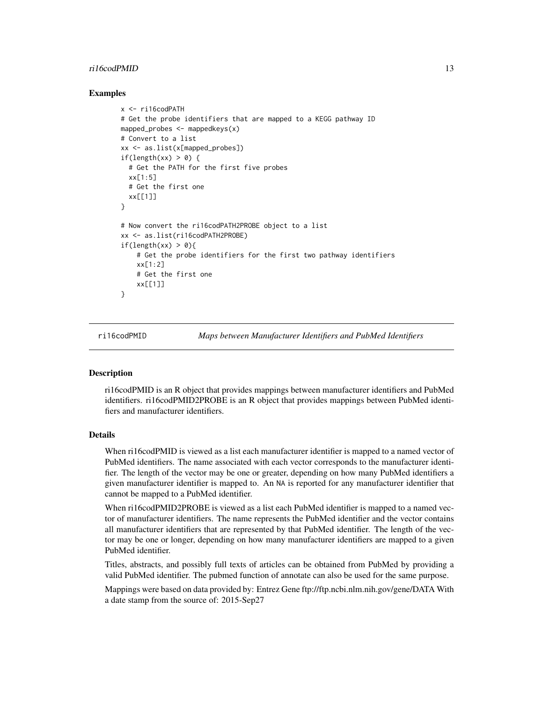# <span id="page-12-0"></span>ri16codPMID 13

#### Examples

```
x <- ri16codPATH
# Get the probe identifiers that are mapped to a KEGG pathway ID
mapped_probes \leq- mappedkeys(x)# Convert to a list
xx <- as.list(x[mapped_probes])
if(length(xx) > 0) {
  # Get the PATH for the first five probes
  xx[1:5]
  # Get the first one
  xx[[1]]
}
# Now convert the ri16codPATH2PROBE object to a list
xx <- as.list(ri16codPATH2PROBE)
if(length(xx) > 0){
    # Get the probe identifiers for the first two pathway identifiers
    xx[1:2]
    # Get the first one
    xx[[1]]
}
```
ri16codPMID *Maps between Manufacturer Identifiers and PubMed Identifiers*

#### Description

ri16codPMID is an R object that provides mappings between manufacturer identifiers and PubMed identifiers. ri16codPMID2PROBE is an R object that provides mappings between PubMed identifiers and manufacturer identifiers.

#### Details

When ri16codPMID is viewed as a list each manufacturer identifier is mapped to a named vector of PubMed identifiers. The name associated with each vector corresponds to the manufacturer identifier. The length of the vector may be one or greater, depending on how many PubMed identifiers a given manufacturer identifier is mapped to. An NA is reported for any manufacturer identifier that cannot be mapped to a PubMed identifier.

When ri16codPMID2PROBE is viewed as a list each PubMed identifier is mapped to a named vector of manufacturer identifiers. The name represents the PubMed identifier and the vector contains all manufacturer identifiers that are represented by that PubMed identifier. The length of the vector may be one or longer, depending on how many manufacturer identifiers are mapped to a given PubMed identifier.

Titles, abstracts, and possibly full texts of articles can be obtained from PubMed by providing a valid PubMed identifier. The pubmed function of annotate can also be used for the same purpose.

Mappings were based on data provided by: Entrez Gene ftp://ftp.ncbi.nlm.nih.gov/gene/DATA With a date stamp from the source of: 2015-Sep27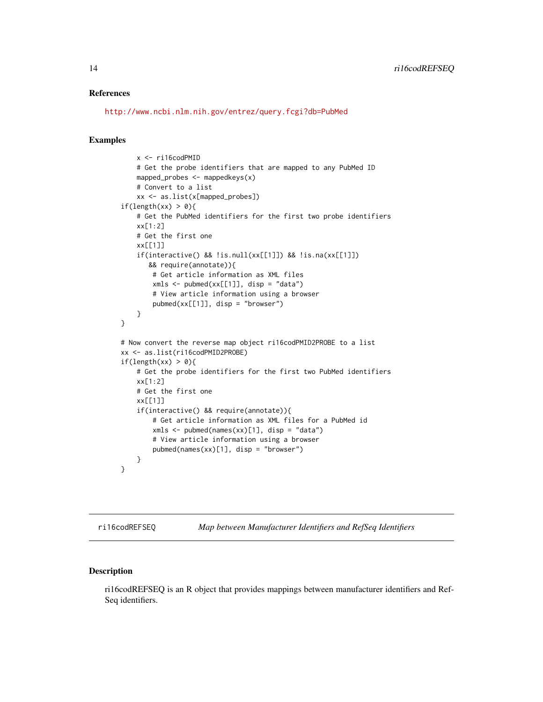### <span id="page-13-0"></span>References

<http://www.ncbi.nlm.nih.gov/entrez/query.fcgi?db=PubMed>

#### Examples

```
x <- ri16codPMID
    # Get the probe identifiers that are mapped to any PubMed ID
    mapped_probes \leq mappedkeys(x)
    # Convert to a list
    xx <- as.list(x[mapped_probes])
if(length(xx) > 0){
   # Get the PubMed identifiers for the first two probe identifiers
    xx[1:2]
    # Get the first one
    xx[[1]]
    if(interactive() && !is.null(xx[[1]]) && !is.na(xx[[1]])
       && require(annotate)){
        # Get article information as XML files
        xmls < -pubmed(xx[[1]], disp = "data")# View article information using a browser
        pubmed(xx[[1]], disp = "browser")}
}
# Now convert the reverse map object ri16codPMID2PROBE to a list
xx <- as.list(ri16codPMID2PROBE)
if(length(xx) > 0){
    # Get the probe identifiers for the first two PubMed identifiers
    xx[1:2]
    # Get the first one
    xx[[1]]
    if(interactive() && require(annotate)){
        # Get article information as XML files for a PubMed id
        xmls < -pubmed(names(xx)[1], disp = "data")# View article information using a browser
        pubmed(names(xx)[1], disp = "browser")
    }
}
```
ri16codREFSEQ *Map between Manufacturer Identifiers and RefSeq Identifiers*

# Description

ri16codREFSEQ is an R object that provides mappings between manufacturer identifiers and Ref-Seq identifiers.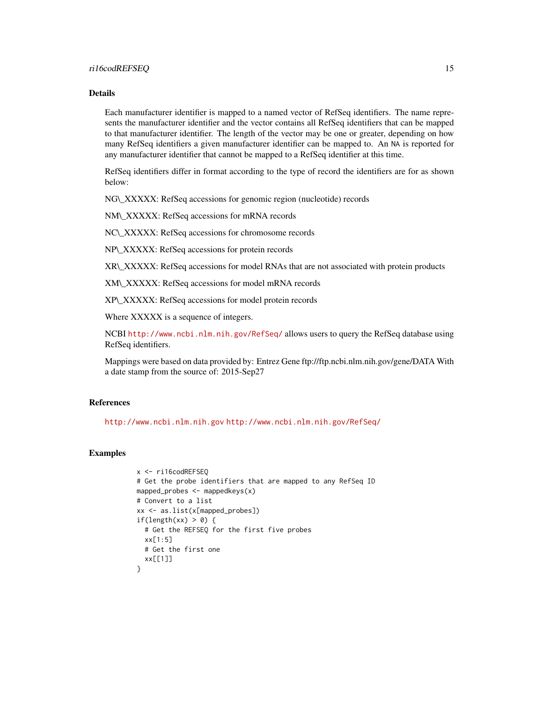Each manufacturer identifier is mapped to a named vector of RefSeq identifiers. The name represents the manufacturer identifier and the vector contains all RefSeq identifiers that can be mapped to that manufacturer identifier. The length of the vector may be one or greater, depending on how many RefSeq identifiers a given manufacturer identifier can be mapped to. An NA is reported for any manufacturer identifier that cannot be mapped to a RefSeq identifier at this time.

RefSeq identifiers differ in format according to the type of record the identifiers are for as shown below:

NG\\_XXXXX: RefSeq accessions for genomic region (nucleotide) records

NM\\_XXXXX: RefSeq accessions for mRNA records

NC\\_XXXXX: RefSeq accessions for chromosome records

NP\\_XXXXX: RefSeq accessions for protein records

XR\\_XXXXX: RefSeq accessions for model RNAs that are not associated with protein products

XM\\_XXXXX: RefSeq accessions for model mRNA records

XP\\_XXXXX: RefSeq accessions for model protein records

Where XXXXX is a sequence of integers.

NCBI <http://www.ncbi.nlm.nih.gov/RefSeq/> allows users to query the RefSeq database using RefSeq identifiers.

Mappings were based on data provided by: Entrez Gene ftp://ftp.ncbi.nlm.nih.gov/gene/DATA With a date stamp from the source of: 2015-Sep27

# References

<http://www.ncbi.nlm.nih.gov> <http://www.ncbi.nlm.nih.gov/RefSeq/>

```
x <- ri16codREFSEQ
# Get the probe identifiers that are mapped to any RefSeq ID
mapped_probes <- mappedkeys(x)
# Convert to a list
xx <- as.list(x[mapped_probes])
if(length(xx) > 0) {
  # Get the REFSEQ for the first five probes
 xx[1:5]
 # Get the first one
  xx[[1]]
}
```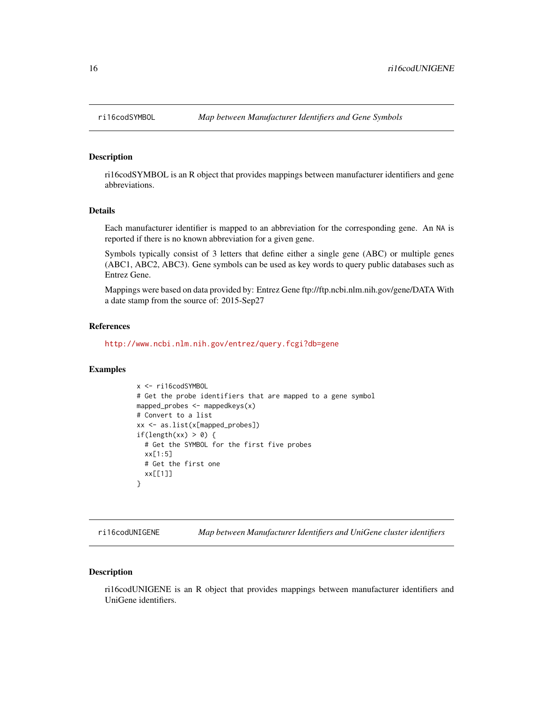<span id="page-15-0"></span>

ri16codSYMBOL is an R object that provides mappings between manufacturer identifiers and gene abbreviations.

# Details

Each manufacturer identifier is mapped to an abbreviation for the corresponding gene. An NA is reported if there is no known abbreviation for a given gene.

Symbols typically consist of 3 letters that define either a single gene (ABC) or multiple genes (ABC1, ABC2, ABC3). Gene symbols can be used as key words to query public databases such as Entrez Gene.

Mappings were based on data provided by: Entrez Gene ftp://ftp.ncbi.nlm.nih.gov/gene/DATA With a date stamp from the source of: 2015-Sep27

# References

<http://www.ncbi.nlm.nih.gov/entrez/query.fcgi?db=gene>

#### Examples

```
x <- ri16codSYMBOL
# Get the probe identifiers that are mapped to a gene symbol
mapped_probes <- mappedkeys(x)
# Convert to a list
xx <- as.list(x[mapped_probes])
if(length(xx) > 0) {
  # Get the SYMBOL for the first five probes
  xx[1:5]
 # Get the first one
 xx[[1]]
}
```
ri16codUNIGENE *Map between Manufacturer Identifiers and UniGene cluster identifiers*

# Description

ri16codUNIGENE is an R object that provides mappings between manufacturer identifiers and UniGene identifiers.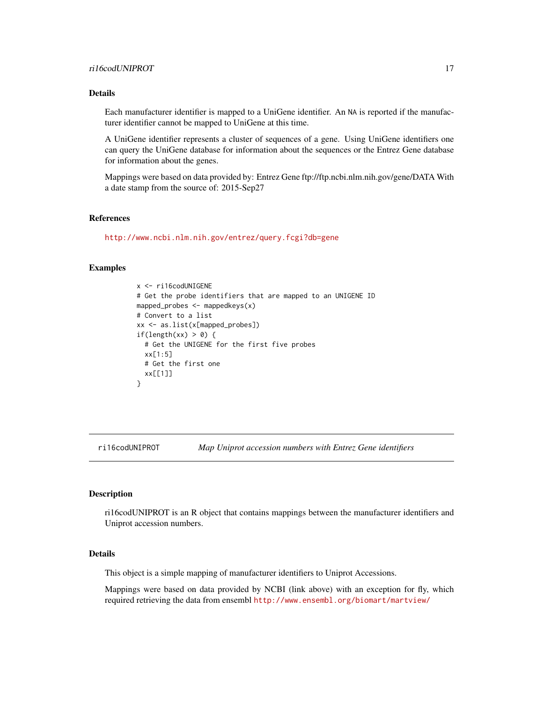<span id="page-16-0"></span>Each manufacturer identifier is mapped to a UniGene identifier. An NA is reported if the manufacturer identifier cannot be mapped to UniGene at this time.

A UniGene identifier represents a cluster of sequences of a gene. Using UniGene identifiers one can query the UniGene database for information about the sequences or the Entrez Gene database for information about the genes.

Mappings were based on data provided by: Entrez Gene ftp://ftp.ncbi.nlm.nih.gov/gene/DATA With a date stamp from the source of: 2015-Sep27

# References

<http://www.ncbi.nlm.nih.gov/entrez/query.fcgi?db=gene>

# Examples

```
x <- ri16codUNIGENE
# Get the probe identifiers that are mapped to an UNIGENE ID
mapped_probes <- mappedkeys(x)
# Convert to a list
xx <- as.list(x[mapped_probes])
if(length(xx) > 0) {
  # Get the UNIGENE for the first five probes
 xx[1:5]
 # Get the first one
  xx[[1]]
}
```
ri16codUNIPROT *Map Uniprot accession numbers with Entrez Gene identifiers*

#### Description

ri16codUNIPROT is an R object that contains mappings between the manufacturer identifiers and Uniprot accession numbers.

#### Details

This object is a simple mapping of manufacturer identifiers to Uniprot Accessions.

Mappings were based on data provided by NCBI (link above) with an exception for fly, which required retrieving the data from ensembl <http://www.ensembl.org/biomart/martview/>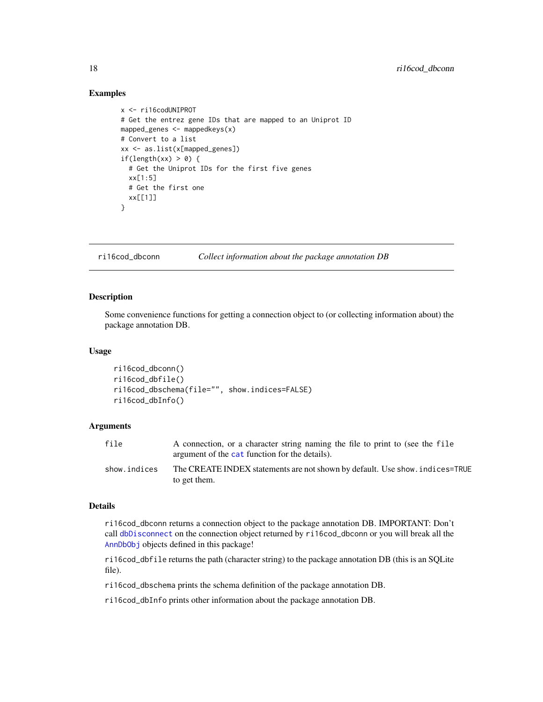#### Examples

```
x <- ri16codUNIPROT
# Get the entrez gene IDs that are mapped to an Uniprot ID
mapped_genes <- mappedkeys(x)
# Convert to a list
xx <- as.list(x[mapped_genes])
if(length(xx) > 0) {
  # Get the Uniprot IDs for the first five genes
  xx[1:5]
  # Get the first one
  xx[[1]]
}
```
ri16cod\_dbconn *Collect information about the package annotation DB*

# **Description**

Some convenience functions for getting a connection object to (or collecting information about) the package annotation DB.

#### Usage

```
ri16cod_dbconn()
ri16cod_dbfile()
ri16cod_dbschema(file="", show.indices=FALSE)
ri16cod_dbInfo()
```
#### **Arguments**

| file         | A connection, or a character string naming the file to print to (see the file<br>argument of the cat function for the details). |
|--------------|---------------------------------------------------------------------------------------------------------------------------------|
| show.indices | The CREATE INDEX statements are not shown by default. Use show, indices=TRUE<br>to get them.                                    |

#### Details

ri16cod\_dbconn returns a connection object to the package annotation DB. IMPORTANT: Don't call [dbDisconnect](#page-0-0) on the connection object returned by ri16cod\_dbconn or you will break all the [AnnDbObj](#page-0-0) objects defined in this package!

ri16cod\_dbfile returns the path (character string) to the package annotation DB (this is an SQLite file).

ri16cod\_dbschema prints the schema definition of the package annotation DB.

ri16cod\_dbInfo prints other information about the package annotation DB.

<span id="page-17-0"></span>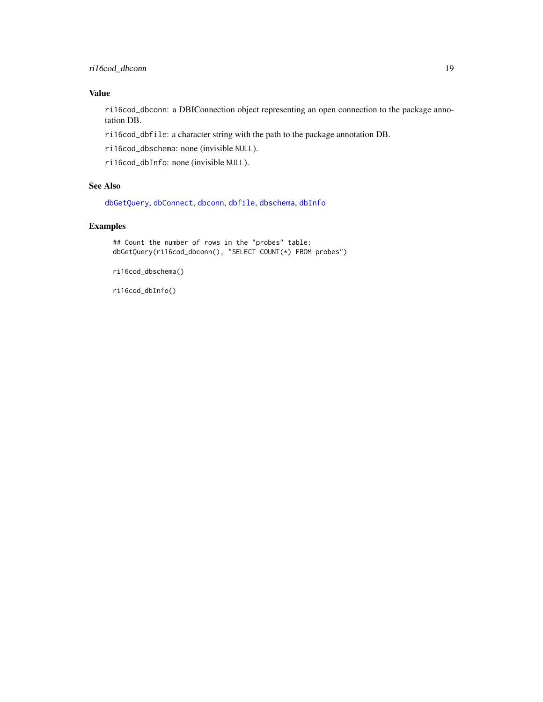# <span id="page-18-0"></span>Value

ri16cod\_dbconn: a DBIConnection object representing an open connection to the package annotation DB.

ri16cod\_dbfile: a character string with the path to the package annotation DB.

ri16cod\_dbschema: none (invisible NULL).

ri16cod\_dbInfo: none (invisible NULL).

# See Also

[dbGetQuery](#page-0-0), [dbConnect](#page-0-0), [dbconn](#page-0-0), [dbfile](#page-0-0), [dbschema](#page-0-0), [dbInfo](#page-0-0)

# Examples

```
## Count the number of rows in the "probes" table:
dbGetQuery(ri16cod_dbconn(), "SELECT COUNT(*) FROM probes")
```
ri16cod\_dbschema()

ri16cod\_dbInfo()